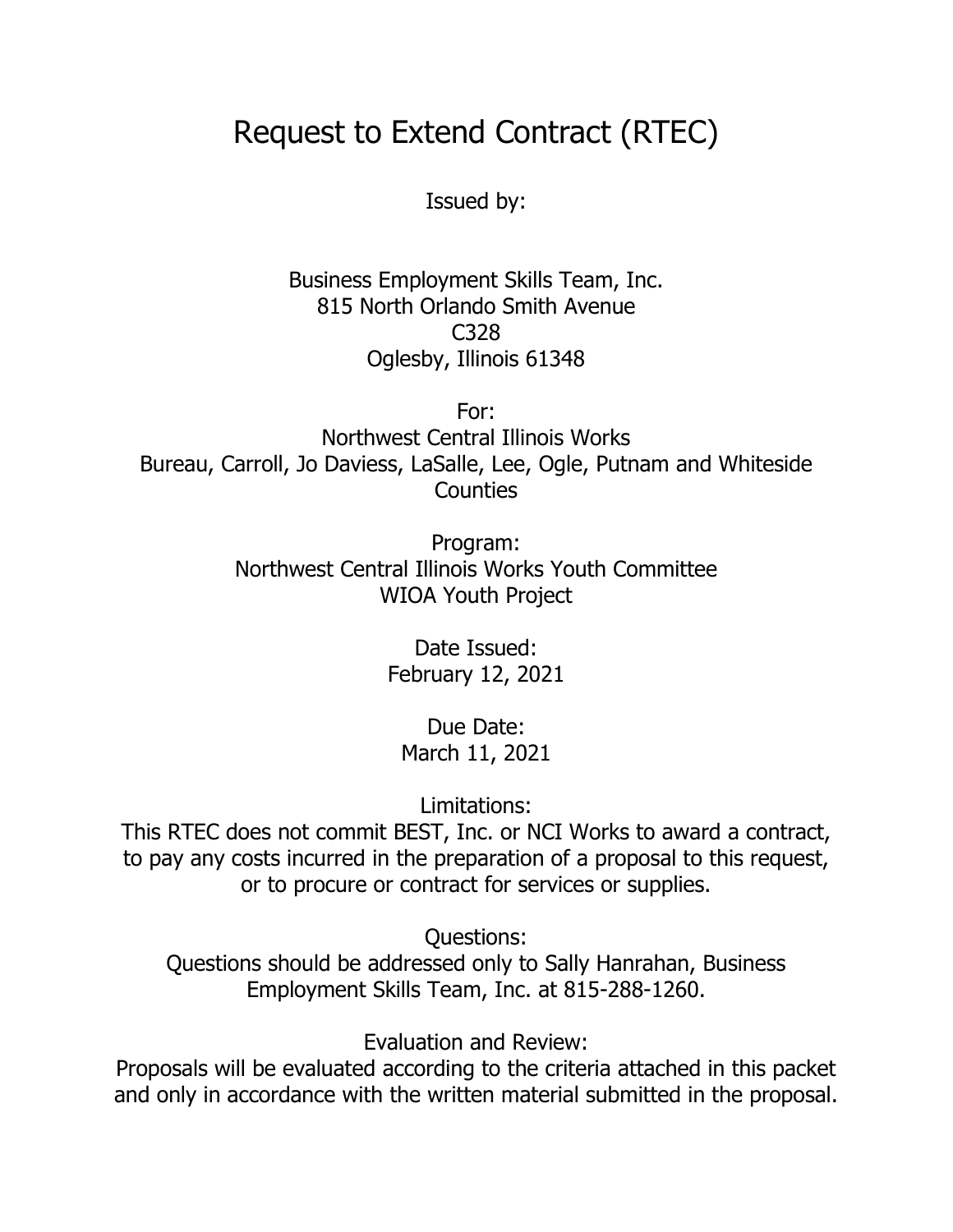# Request to Extend Contract (RTEC)

Issued by:

Business Employment Skills Team, Inc. 815 North Orlando Smith Avenue C328 Oglesby, Illinois 61348

For: Northwest Central Illinois Works Bureau, Carroll, Jo Daviess, LaSalle, Lee, Ogle, Putnam and Whiteside **Counties** 

> Program: Northwest Central Illinois Works Youth Committee WIOA Youth Project

> > Date Issued: February 12, 2021

Due Date: March 11, 2021

Limitations:

This RTEC does not commit BEST, Inc. or NCI Works to award a contract, to pay any costs incurred in the preparation of a proposal to this request, or to procure or contract for services or supplies.

Questions:

Questions should be addressed only to Sally Hanrahan, Business Employment Skills Team, Inc. at 815-288-1260.

Evaluation and Review:

Proposals will be evaluated according to the criteria attached in this packet and only in accordance with the written material submitted in the proposal.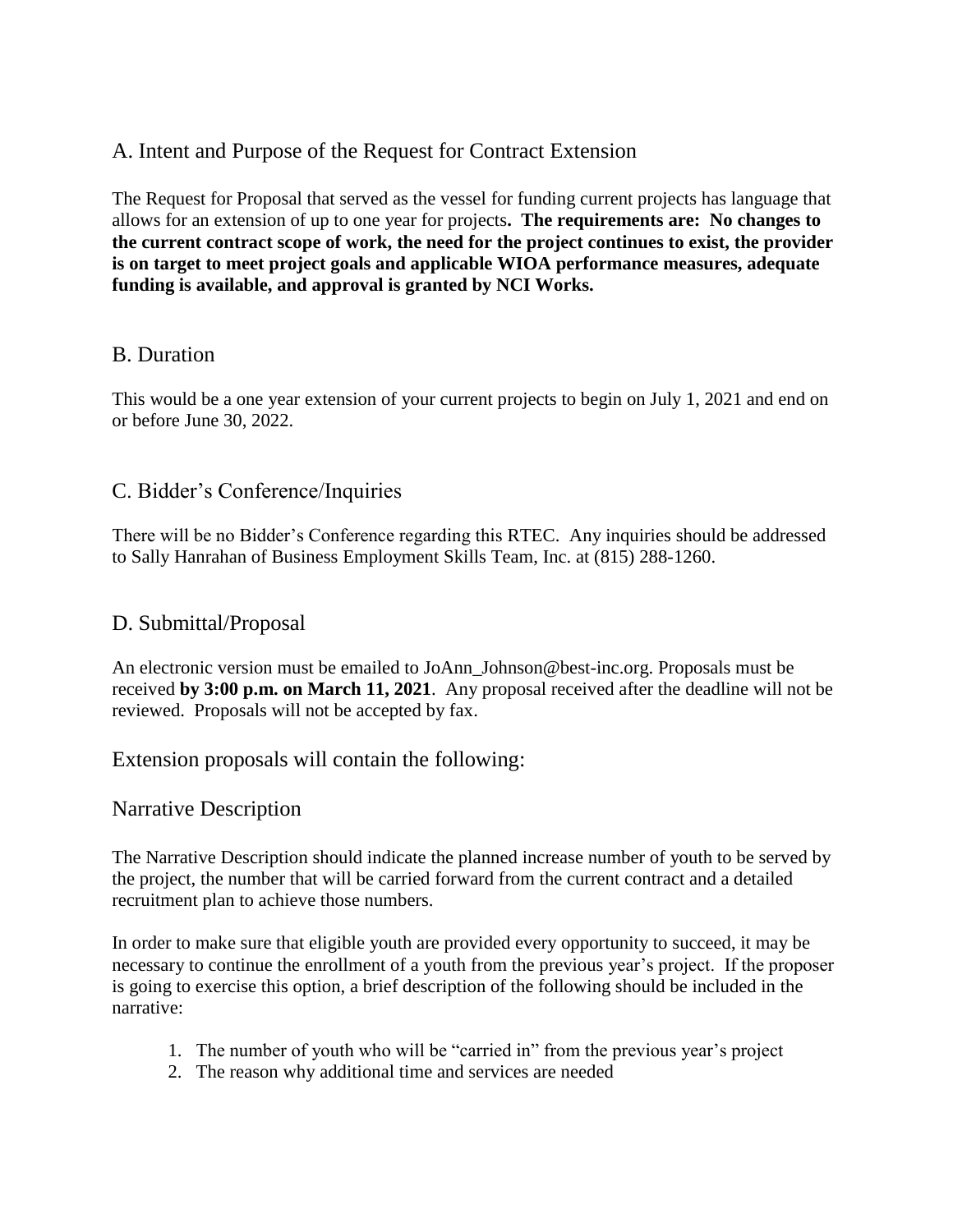# A. Intent and Purpose of the Request for Contract Extension

The Request for Proposal that served as the vessel for funding current projects has language that allows for an extension of up to one year for projects**. The requirements are: No changes to the current contract scope of work, the need for the project continues to exist, the provider is on target to meet project goals and applicable WIOA performance measures, adequate funding is available, and approval is granted by NCI Works.**

#### B. Duration

This would be a one year extension of your current projects to begin on July 1, 2021 and end on or before June 30, 2022.

## C. Bidder's Conference/Inquiries

There will be no Bidder's Conference regarding this RTEC. Any inquiries should be addressed to Sally Hanrahan of Business Employment Skills Team, Inc. at (815) 288-1260.

# D. Submittal/Proposal

An electronic version must be emailed to JoAnn\_Johnson@best-inc.org. Proposals must be received **by 3:00 p.m. on March 11, 2021**. Any proposal received after the deadline will not be reviewed. Proposals will not be accepted by fax.

### Extension proposals will contain the following:

#### Narrative Description

The Narrative Description should indicate the planned increase number of youth to be served by the project, the number that will be carried forward from the current contract and a detailed recruitment plan to achieve those numbers.

In order to make sure that eligible youth are provided every opportunity to succeed, it may be necessary to continue the enrollment of a youth from the previous year's project. If the proposer is going to exercise this option, a brief description of the following should be included in the narrative:

- 1. The number of youth who will be "carried in" from the previous year's project
- 2. The reason why additional time and services are needed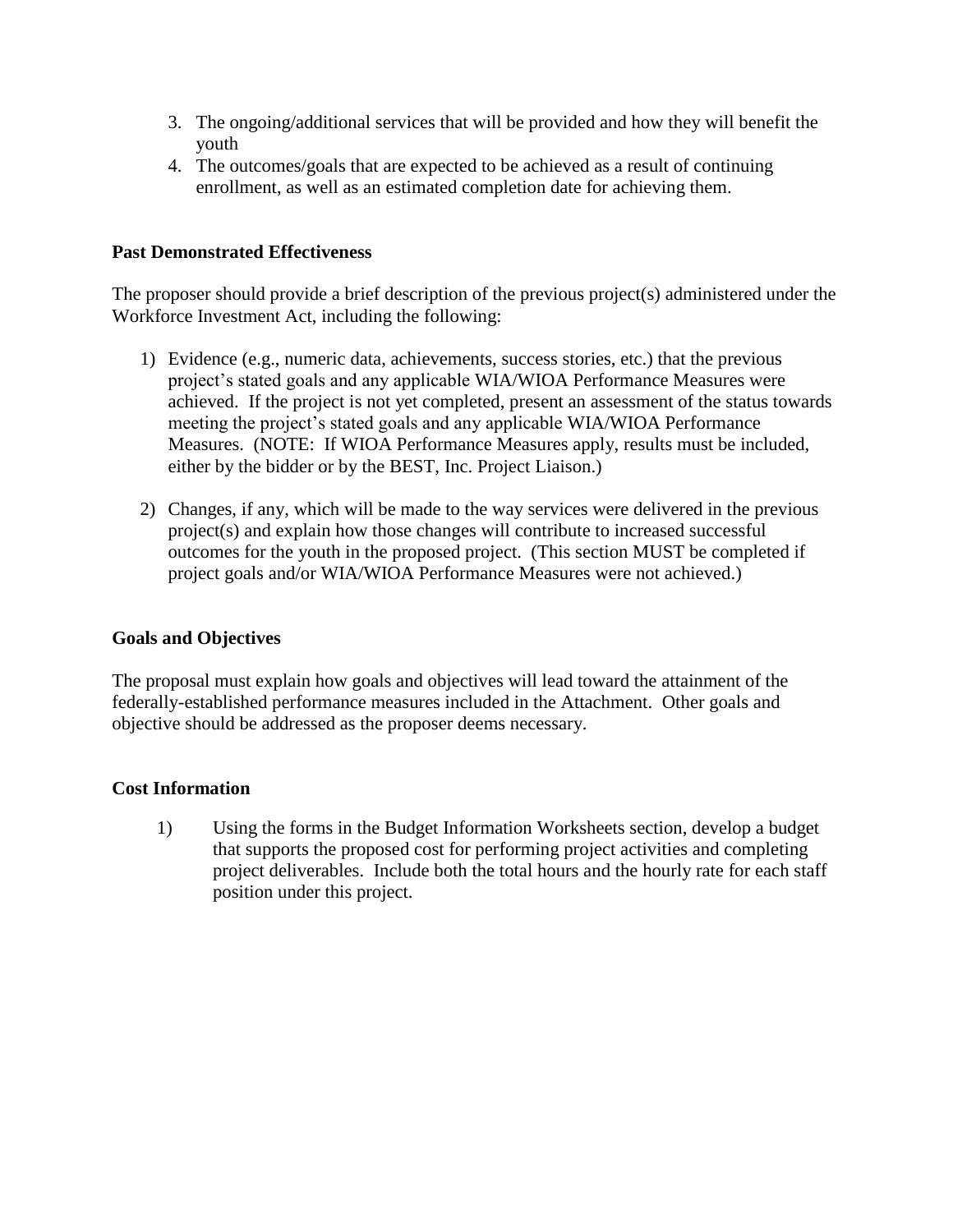- 3. The ongoing/additional services that will be provided and how they will benefit the youth
- 4. The outcomes/goals that are expected to be achieved as a result of continuing enrollment, as well as an estimated completion date for achieving them.

#### **Past Demonstrated Effectiveness**

The proposer should provide a brief description of the previous project(s) administered under the Workforce Investment Act, including the following:

- 1) Evidence (e.g., numeric data, achievements, success stories, etc.) that the previous project's stated goals and any applicable WIA/WIOA Performance Measures were achieved. If the project is not yet completed, present an assessment of the status towards meeting the project's stated goals and any applicable WIA/WIOA Performance Measures. (NOTE: If WIOA Performance Measures apply, results must be included, either by the bidder or by the BEST, Inc. Project Liaison.)
- 2) Changes, if any, which will be made to the way services were delivered in the previous project(s) and explain how those changes will contribute to increased successful outcomes for the youth in the proposed project. (This section MUST be completed if project goals and/or WIA/WIOA Performance Measures were not achieved.)

#### **Goals and Objectives**

The proposal must explain how goals and objectives will lead toward the attainment of the federally-established performance measures included in the Attachment. Other goals and objective should be addressed as the proposer deems necessary.

#### **Cost Information**

1) Using the forms in the Budget Information Worksheets section, develop a budget that supports the proposed cost for performing project activities and completing project deliverables. Include both the total hours and the hourly rate for each staff position under this project.